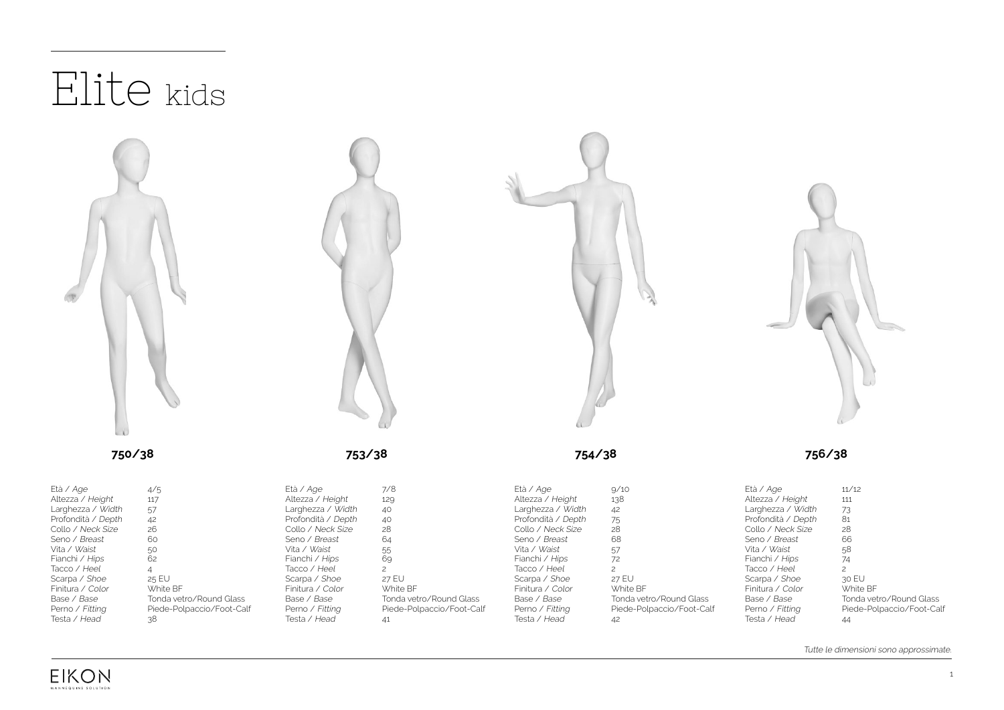

**EIKON** MANNEQUINS SOLUTION